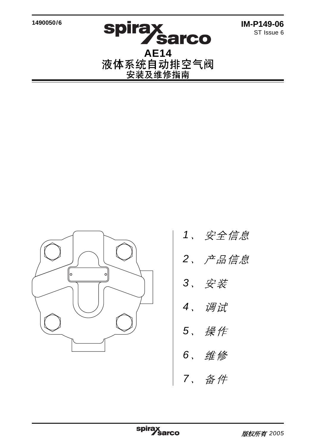**1490050/6**

**IM-P149-06** ST Issue 6

**Spirax<br>AE14<br>液体系统自动排空气阀<br>安装及维修指南** 



- 1、安全信息
- $2,$  产品信息
- 3. 安装
- 4、调试
- 5、 操作
- 6、维修
- 7. 备件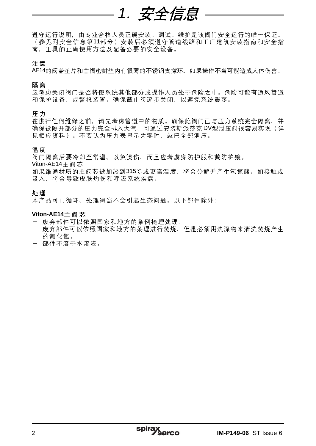# 1. 安全信息

遵守运行说明,由专业合格人员正确安装、调试、维护是该阀门安全运行的唯一保证。 (参见附安全信息第11部分)安装后必须遵守管道线路和工厂建筑安装指南和安全指 南、王具的正确使用方法及配备必要的安全设备。

### 注意

AE14的阀盖垫片和主阀密封垫内有很薄的不锈钢支撑环,如果操作不当可能造成人体伤害。

隔离

应考虑关闭阀门是否将使系统其他部分或操作人员处于危险之中。危险可能有通风管道 和保护设备、或警报装置。确保截止阀逐步关闭、以避免系统震荡。

压力

在进行任何维修之前,请先考虑管道中的物质。确保此阀门已与压力系统完全隔离,并 确保被隔开部分的压力完全排入大气,可通过安装斯派莎克DV型泄压阀很容易实现(详 见相应资料)。不要认为压力表显示为零时,就已全部泄压。

#### 温度

阀门隔离后要冷却至常温、以免烫伤、而且应考虑穿防护服和戴防护镜。

Viton-AE14 主阀芯

如果维通材质的主阀芯被加热到315℃或更高温度,将会分解并产生氢氟酸。如接触或 吸入、将会导致皮肤灼伤和呼吸系统疾病。

#### 处理

本产品可再循环, 处理得当不会引起生态问题。以下部件除外:

#### **Viton-AE14**主阀芯

- 废弃部件可以依照国家和地方的条例掩埋处理。
- 废弃部件可以依照国家和地方的条理进行焚烧,但是必须用洗涤物来清洗焚烧产生 的氟化氪。
- 部件不溶于水溶液。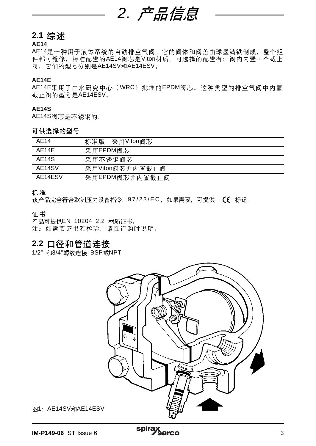

# **2.1**

# **AE14**

AE14是一种用于液体系统的自动排空气阀。它的阀体和阀盖由球墨铸铁制成, 整个组 件都可维修, 标准配置的AE14阀芯是Viton材质。可选择的配置有: 阀内内置一个截止 阀, 它们的型号分别是AE14SV和AE14ESV。

## **AE14E**

AE14E采用了由水研究中心 (WRC) 批准的EPDM阀芯。这种类型的排空气阀中内置 截止阀的型号是AE14ESV。

#### **AE14S**

AE14S阀芯是不锈钢的。

#### 可供选择的型号

| AF14    | 标准版: 采用Viton阀芯  |
|---------|-----------------|
| AF14F   | 采用EPDM阀芯        |
| AE14S   | 采用不锈钢阀芯         |
| AE14SV  | 采用Viton阀芯并内置截止阀 |
| AE14ESV | 采用EPDM阀芯并内置截止阀  |

#### 标准

该产品完全符合欧洲压力设备指令: 97/23/EC, 如果需要, 可提供 (C 标记。

### 证书

产品可提供EN 10204 2.2 材质证书。<br>注: 如需要证书和检验, 请在订购时说明。

# **2.2**

1/2" 和3/4"螺纹连接 BSP或NPT



图1: AE14SV和AE14ESV

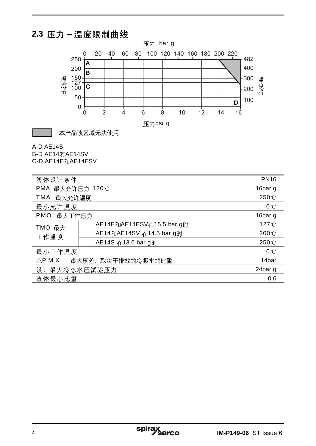# **2.3**



本产品该区域无法使用

# A-D AE14S

B-D AE14和AE14SV C-D-AE14E FOAE14ESV

|  | <b>U</b> D AC 14C ALAC 14COV |  |
|--|------------------------------|--|
|  |                              |  |

| 阀体设计条件               |                           | <b>PN16</b>        |
|----------------------|---------------------------|--------------------|
| PMA 最大允许压力 120℃      |                           | 16bar g            |
| 最大允许温度<br>TMA        |                           | 250 °C             |
| 最小允许温度               |                           | $0^{\circ}$ C      |
| <b>PMO</b><br>最大工作压力 |                           | 16bar q            |
| TMO 最大<br>工作温度       | AE14E和AE14ESV在15.5 bar g时 | 127 <sup>°</sup> C |
|                      | AE14和AE14SV 在14.5 bar q时  | 200 °C             |
|                      | AE14S 在13.6 bar g时        | 250 °C             |
| 最小工作温度               |                           | 0C                 |
| $\triangle$ PMX      | 最大压差, 取决于排放的冷凝水的比重        | 14bar              |
| 设计最大冷态水压试验压力         |                           | 24bar g            |
| 流体最小比重               |                           | 0.6                |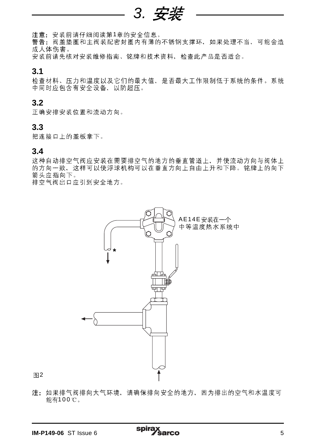3. 安装

注意: 安装前请仔细阅读第1章的安全信息。

警告: 阀盖垫圈和主阀装配密封圈内有薄的不锈钢支撑环, 如果处理不当, 可能会造 成人体伤害。

安装前请先核对安装维修指南、铭牌和技术资料,检查此产品是否适合。

# **3.1**

检查材料、压力和温度以及它们的最大值、是否最大工作限制低于系统的条件。系统 中同时应包含有安全设备、以防超压。

# **3.2**

正确安排安装位置和流动方向。

# **3.3**

把连接口上的盖板拿下。

# **3.4**

这种自动排空气阀应安装在需要排空气的地方的垂直管道上,并使流动方向与阀体上 的方向一致, 这样可以使浮球机构可以在垂直方向上自由上升和下降。铭牌上的向下 箭头应指向下。

排空气阀出口应引到安全地方。



图2

注:如果排气阀排向大气环境,请确保排向安全的地方,因为排出的空气和水温度可 能有100 ℃。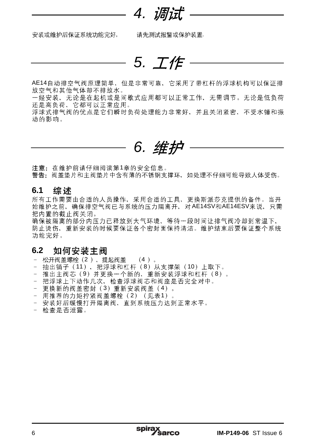4.

安装或维护后保证系统功能完好, 请先测试报警或保护装置.

5. I'E

AE14自动排空气阀原理简单,但是非常可靠,它采用了带杠杆的浮球机构可以保证排<br>放空气和其他气体却不排放水。

一经安装, 无论是在起机或是间歇式应用都可以正常工作, 无需调节。无论是低负荷 还是高负荷、它都可以正常应用。

浮球式排气阀的优点是它们瞬时负荷处理能力非常好,并且关闭紧密,不受水锤和振 动的影响。



**注意:**在维护前请仔细阅读第1章的安全信息。<br>警**告:**阀盖垫片和主阀垫片中含有薄的不锈钢支撑环,如处理不仔细可能导致人体受伤。

#### 综述 **6.1**

所有工作需要由合适的人员操作,采用合适的工具,更换斯派莎克提供的备件。当开 始维护之前,确保排空气阀已与系统的压力隔离开,对AE14SV和AE14ESV来说,只需 把内置的截止阀关闭。

确保被隔离的部分内压力已释放到大气环境、等待一段时间让排气阀冷却到常温下、 防止烫伤、重新安装的时候要保证各个密封面保持清洁。维护结束后要保证整个系统 功能完好。

#### 如何安装主阀 **6.2**

- 松开阀盖螺栓(2), 提起阀盖 (4)。
- 抽出销子(11), 把浮球和杠杆(8)从支撑架(10)上取下。
- 推出主阀芯 (9) 并更换一个新的, 重新安装浮球和杠杆 (8) 。

spira:

- 把浮球上下动作几次,检查浮球阀芯和阀座是否完全对中。
- 更换新的阀盖密封 (3) 重新安装阀盖 (4) 。
- 用推荐的力矩拧紧阀盖螺栓 (2) (见表1)
- 安装好后缓慢打开隔离阀, 直到系统压力达到正常水平。
- 检查是否泄露。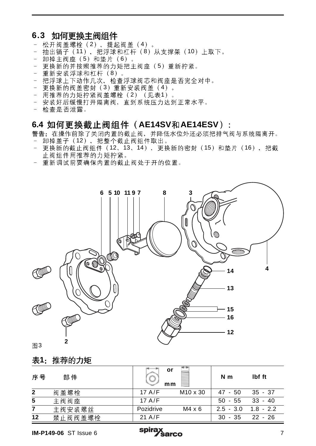# **6.3**

- 松开阀盖螺栓 (2), 提起阀盖 (4)。
- 抽出销子(11), 把浮球和杠杆(8)从支撑架(10)上取下。
- 卸掉主阀座 (5) 和垫片 (6) 。
- 更换新的并按照推荐的力矩把主阀座 (5) 重新拧紧。
- 重新安装浮球和杠杆 (8)。
- 把浮球上下动作几次,检查浮球阀芯和阀座是否完全对中。
- 更换新的阀盖密封 (3) 重新安装阀盖 (4) 。
- 用推荐的力矩拧紧阀盖螺栓 (2) (见表1).
- 安装好后缓慢打开隔离阀, 直到系统压力达到正常水平。
- 检查是否泄露。

# 6.4 如何更换截止阀组件 (AE14SV和AE14ESV):

警告: 在操作前除了关闭内置的截止阀, 并降低水位外还必须把排气阀与系统隔离开。

- 卸掉盖子 (12), 把整个截止阀组件取出。
- 更换新的截止阀组件 (12、13、14), 更换新的密封 (15)和垫片 (16), 把截 止阀组件用推荐的力矩拧紧。
- 重新调试前要确保内置的截止阀处于开的位置。



# 图3

# 表1: 推荐的力矩

| 序号           | 部件      | or<br>mm  |                      | N <sub>m</sub> | lbf ft      |
|--------------|---------|-----------|----------------------|----------------|-------------|
| $\mathbf{2}$ | 阀盖螺栓    | 17 $A/F$  | M <sub>10</sub> x 30 | $47 - 50$      | $35 - 37$   |
| 5            | 主阀阀座    | $17$ A/F  |                      | $50 - 55$      | $33 - 40$   |
| 7            | 主阀安装螺丝  | Pozidrive | $M4 \times 6$        | $2.5 - 3.0$    | $1.8 - 2.2$ |
| 12           | 禁止阀阀盖螺栓 | $21$ A/F  |                      | $30 - 35$      | 22 - 26     |